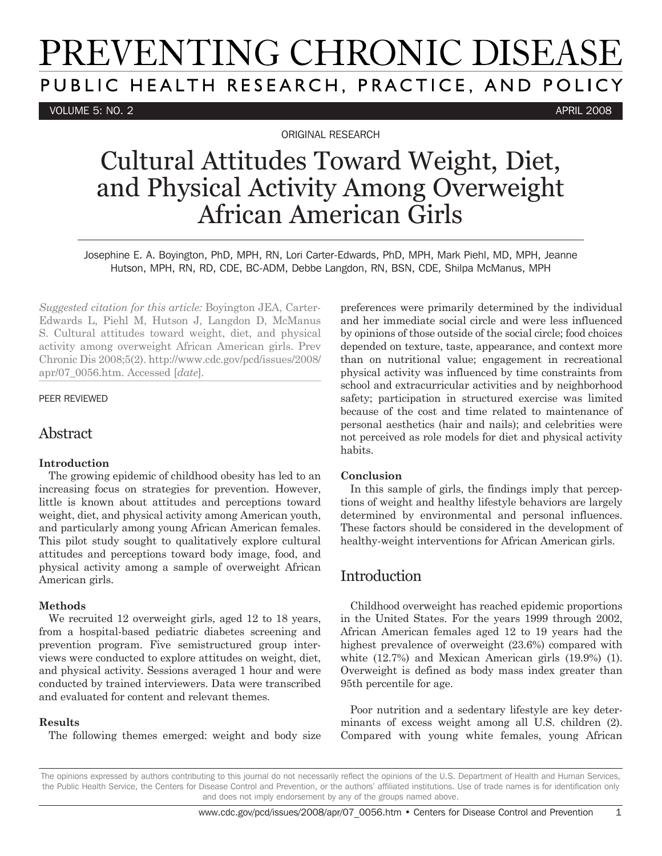# PREVENTING CHRONIC DISEASE PUBLIC HEALTH RESEARCH, PRACTICE, AND POLICY

VOLUME 5: NO. 2 APRIL 2008

ORIGINAL RESEARCH

## Cultural Attitudes Toward Weight, Diet, and Physical Activity Among Overweight African American Girls

Josephine E. A. Boyington, PhD, MPH, RN, Lori Carter-Edwards, PhD, MPH, Mark Piehl, MD, MPH, Jeanne Hutson, MPH, RN, RD, CDE, BC-ADM, Debbe Langdon, RN, BSN, CDE, Shilpa McManus, MPH

*Suggested citation for this article:* Boyington JEA, Carter-Edwards L, Piehl M, Hutson J, Langdon D, McManus S. Cultural attitudes toward weight, diet, and physical activity among overweight African American girls. Prev Chronic Dis 2008;5(2). http://www.cdc.gov/pcd/issues/2008/ apr/07\_0056.htm. Accessed [*date*].

#### PEER REVIEWED

## Abstract

#### **Introduction**

The growing epidemic of childhood obesity has led to an increasing focus on strategies for prevention. However, little is known about attitudes and perceptions toward weight, diet, and physical activity among American youth, and particularly among young African American females. This pilot study sought to qualitatively explore cultural attitudes and perceptions toward body image, food, and physical activity among a sample of overweight African American girls.

#### **Methods**

We recruited 12 overweight girls, aged 12 to 18 years, from a hospital-based pediatric diabetes screening and prevention program. Five semistructured group interviews were conducted to explore attitudes on weight, diet, and physical activity. Sessions averaged 1 hour and were conducted by trained interviewers. Data were transcribed and evaluated for content and relevant themes.

#### **Results**

The following themes emerged: weight and body size

preferences were primarily determined by the individual and her immediate social circle and were less influenced by opinions of those outside of the social circle; food choices depended on texture, taste, appearance, and context more than on nutritional value; engagement in recreational physical activity was influenced by time constraints from school and extracurricular activities and by neighborhood safety; participation in structured exercise was limited because of the cost and time related to maintenance of personal aesthetics (hair and nails); and celebrities were not perceived as role models for diet and physical activity habits.

#### **Conclusion**

In this sample of girls, the findings imply that perceptions of weight and healthy lifestyle behaviors are largely determined by environmental and personal influences. These factors should be considered in the development of healthy-weight interventions for African American girls.

## Introduction

Childhood overweight has reached epidemic proportions in the United States. For the years 1999 through 2002, African American females aged 12 to 19 years had the highest prevalence of overweight (23.6%) compared with white (12.7%) and Mexican American girls (19.9%) (1). Overweight is defined as body mass index greater than 95th percentile for age.

Poor nutrition and a sedentary lifestyle are key determinants of excess weight among all U.S. children (2). Compared with young white females, young African

The opinions expressed by authors contributing to this journal do not necessarily reflect the opinions of the U.S. Department of Health and Human Services, the Public Health Service, the Centers for Disease Control and Prevention, or the authors' affiliated institutions. Use of trade names is for identification only and does not imply endorsement by any of the groups named above.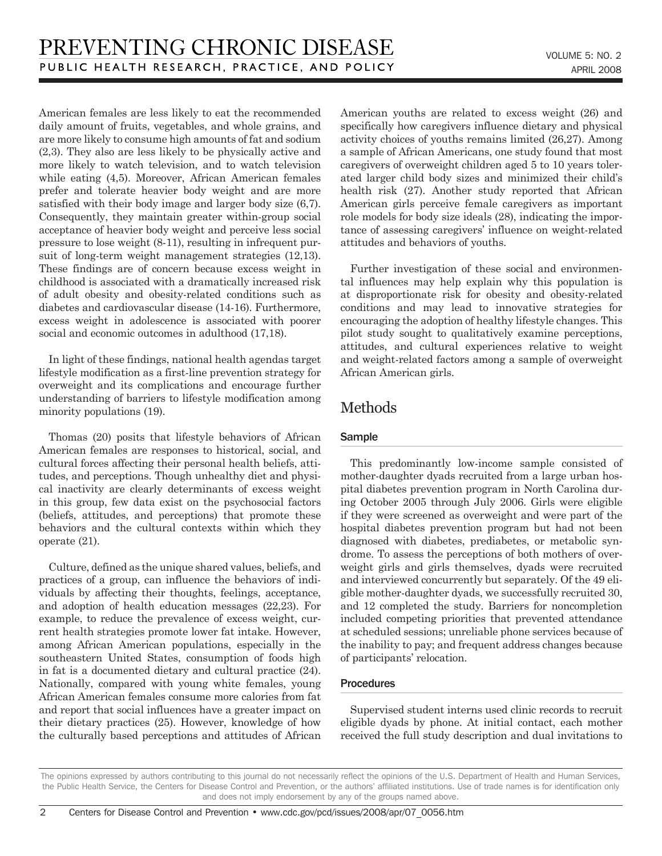American females are less likely to eat the recommended daily amount of fruits, vegetables, and whole grains, and are more likely to consume high amounts of fat and sodium (2,3). They also are less likely to be physically active and more likely to watch television, and to watch television while eating (4,5). Moreover, African American females prefer and tolerate heavier body weight and are more satisfied with their body image and larger body size (6,7). Consequently, they maintain greater within-group social acceptance of heavier body weight and perceive less social pressure to lose weight (8-11), resulting in infrequent pursuit of long-term weight management strategies (12,13). These findings are of concern because excess weight in childhood is associated with a dramatically increased risk of adult obesity and obesity-related conditions such as diabetes and cardiovascular disease (14-16). Furthermore, excess weight in adolescence is associated with poorer social and economic outcomes in adulthood (17,18).

In light of these findings, national health agendas target lifestyle modification as a first-line prevention strategy for overweight and its complications and encourage further understanding of barriers to lifestyle modification among minority populations (19).

Thomas (20) posits that lifestyle behaviors of African American females are responses to historical, social, and cultural forces affecting their personal health beliefs, attitudes, and perceptions. Though unhealthy diet and physical inactivity are clearly determinants of excess weight in this group, few data exist on the psychosocial factors (beliefs, attitudes, and perceptions) that promote these behaviors and the cultural contexts within which they operate (21).

Culture, defined as the unique shared values, beliefs, and practices of a group, can influence the behaviors of individuals by affecting their thoughts, feelings, acceptance, and adoption of health education messages (22,23). For example, to reduce the prevalence of excess weight, current health strategies promote lower fat intake. However, among African American populations, especially in the southeastern United States, consumption of foods high in fat is a documented dietary and cultural practice (24). Nationally, compared with young white females, young African American females consume more calories from fat and report that social influences have a greater impact on their dietary practices (25). However, knowledge of how the culturally based perceptions and attitudes of African American youths are related to excess weight (26) and specifically how caregivers influence dietary and physical activity choices of youths remains limited (26,27). Among a sample of African Americans, one study found that most caregivers of overweight children aged 5 to 10 years tolerated larger child body sizes and minimized their child's health risk (27). Another study reported that African American girls perceive female caregivers as important role models for body size ideals (28), indicating the importance of assessing caregivers' influence on weight-related attitudes and behaviors of youths.

Further investigation of these social and environmental influences may help explain why this population is at disproportionate risk for obesity and obesity-related conditions and may lead to innovative strategies for encouraging the adoption of healthy lifestyle changes. This pilot study sought to qualitatively examine perceptions, attitudes, and cultural experiences relative to weight and weight-related factors among a sample of overweight African American girls.

## Methods

#### Sample

This predominantly low-income sample consisted of mother-daughter dyads recruited from a large urban hospital diabetes prevention program in North Carolina during October 2005 through July 2006. Girls were eligible if they were screened as overweight and were part of the hospital diabetes prevention program but had not been diagnosed with diabetes, prediabetes, or metabolic syndrome. To assess the perceptions of both mothers of overweight girls and girls themselves, dyads were recruited and interviewed concurrently but separately. Of the 49 eligible mother-daughter dyads, we successfully recruited 30, and 12 completed the study. Barriers for noncompletion included competing priorities that prevented attendance at scheduled sessions; unreliable phone services because of the inability to pay; and frequent address changes because of participants' relocation.

#### **Procedures**

Supervised student interns used clinic records to recruit eligible dyads by phone. At initial contact, each mother received the full study description and dual invitations to

The opinions expressed by authors contributing to this journal do not necessarily reflect the opinions of the U.S. Department of Health and Human Services, the Public Health Service, the Centers for Disease Control and Prevention, or the authors' affiliated institutions. Use of trade names is for identification only and does not imply endorsement by any of the groups named above.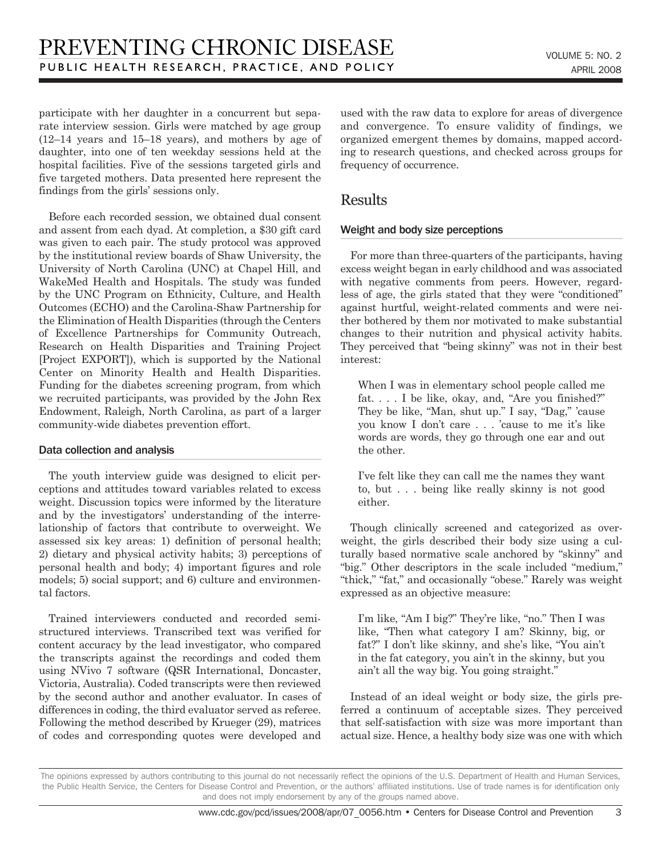participate with her daughter in a concurrent but separate interview session. Girls were matched by age group (12–14 years and 15–18 years), and mothers by age of daughter, into one of ten weekday sessions held at the hospital facilities. Five of the sessions targeted girls and five targeted mothers. Data presented here represent the findings from the girls' sessions only.

Before each recorded session, we obtained dual consent and assent from each dyad. At completion, a \$30 gift card was given to each pair. The study protocol was approved by the institutional review boards of Shaw University, the University of North Carolina (UNC) at Chapel Hill, and WakeMed Health and Hospitals. The study was funded by the UNC Program on Ethnicity, Culture, and Health Outcomes (ECHO) and the Carolina-Shaw Partnership for the Elimination of Health Disparities (through the Centers of Excellence Partnerships for Community Outreach, Research on Health Disparities and Training Project [Project EXPORT]), which is supported by the National Center on Minority Health and Health Disparities. Funding for the diabetes screening program, from which we recruited participants, was provided by the John Rex Endowment, Raleigh, North Carolina, as part of a larger community-wide diabetes prevention effort.

#### Data collection and analysis

The youth interview guide was designed to elicit perceptions and attitudes toward variables related to excess weight. Discussion topics were informed by the literature and by the investigators' understanding of the interrelationship of factors that contribute to overweight. We assessed six key areas: 1) definition of personal health; 2) dietary and physical activity habits; 3) perceptions of personal health and body; 4) important figures and role models; 5) social support; and 6) culture and environmental factors.

Trained interviewers conducted and recorded semistructured interviews. Transcribed text was verified for content accuracy by the lead investigator, who compared the transcripts against the recordings and coded them using NVivo 7 software (QSR International, Doncaster, Victoria, Australia). Coded transcripts were then reviewed by the second author and another evaluator. In cases of differences in coding, the third evaluator served as referee. Following the method described by Krueger (29), matrices of codes and corresponding quotes were developed and used with the raw data to explore for areas of divergence and convergence. To ensure validity of findings, we organized emergent themes by domains, mapped according to research questions, and checked across groups for frequency of occurrence.

## Results

#### Weight and body size perceptions

For more than three-quarters of the participants, having excess weight began in early childhood and was associated with negative comments from peers. However, regardless of age, the girls stated that they were "conditioned" against hurtful, weight-related comments and were neither bothered by them nor motivated to make substantial changes to their nutrition and physical activity habits. They perceived that "being skinny" was not in their best interest:

When I was in elementary school people called me fat. . . . I be like, okay, and, "Are you finished?" They be like, "Man, shut up." I say, "Dag," 'cause you know I don't care . . . 'cause to me it's like words are words, they go through one ear and out the other.

I've felt like they can call me the names they want to, but . . . being like really skinny is not good either.

Though clinically screened and categorized as overweight, the girls described their body size using a culturally based normative scale anchored by "skinny" and "big." Other descriptors in the scale included "medium," "thick," "fat," and occasionally "obese." Rarely was weight expressed as an objective measure:

I'm like, "Am I big?" They're like, "no." Then I was like, "Then what category I am? Skinny, big, or fat?" I don't like skinny, and she's like, "You ain't in the fat category, you ain't in the skinny, but you ain't all the way big. You going straight."

Instead of an ideal weight or body size, the girls preferred a continuum of acceptable sizes. They perceived that self-satisfaction with size was more important than actual size. Hence, a healthy body size was one with which

The opinions expressed by authors contributing to this journal do not necessarily reflect the opinions of the U.S. Department of Health and Human Services, the Public Health Service, the Centers for Disease Control and Prevention, or the authors' affiliated institutions. Use of trade names is for identification only and does not imply endorsement by any of the groups named above.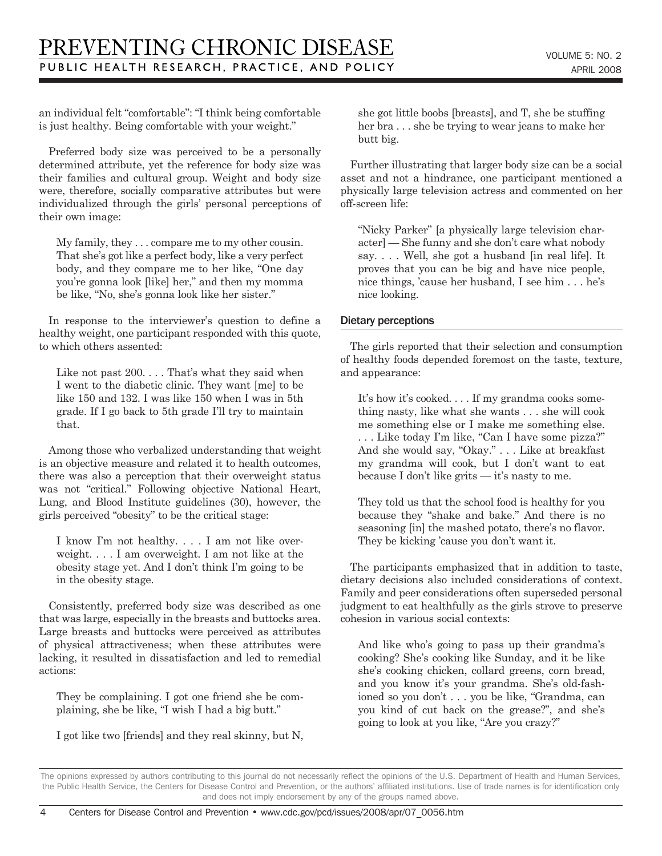an individual felt "comfortable": "I think being comfortable is just healthy. Being comfortable with your weight."

Preferred body size was perceived to be a personally determined attribute, yet the reference for body size was their families and cultural group. Weight and body size were, therefore, socially comparative attributes but were individualized through the girls' personal perceptions of their own image:

My family, they . . . compare me to my other cousin. That she's got like a perfect body, like a very perfect body, and they compare me to her like, "One day you're gonna look [like] her," and then my momma be like, "No, she's gonna look like her sister."

In response to the interviewer's question to define a healthy weight, one participant responded with this quote, to which others assented:

Like not past 200. . . . That's what they said when I went to the diabetic clinic. They want [me] to be like 150 and 132. I was like 150 when I was in 5th grade. If I go back to 5th grade I'll try to maintain that.

Among those who verbalized understanding that weight is an objective measure and related it to health outcomes, there was also a perception that their overweight status was not "critical." Following objective National Heart, Lung, and Blood Institute guidelines (30), however, the girls perceived "obesity" to be the critical stage:

I know I'm not healthy. . . . I am not like overweight. . . . I am overweight. I am not like at the obesity stage yet. And I don't think I'm going to be in the obesity stage.

Consistently, preferred body size was described as one that was large, especially in the breasts and buttocks area. Large breasts and buttocks were perceived as attributes of physical attractiveness; when these attributes were lacking, it resulted in dissatisfaction and led to remedial actions:

They be complaining. I got one friend she be complaining, she be like, "I wish I had a big butt."

I got like two [friends] and they real skinny, but N,

she got little boobs [breasts], and T, she be stuffing her bra . . . she be trying to wear jeans to make her butt big.

Further illustrating that larger body size can be a social asset and not a hindrance, one participant mentioned a physically large television actress and commented on her off-screen life:

"Nicky Parker" [a physically large television character] — She funny and she don't care what nobody say. . . . Well, she got a husband [in real life]. It proves that you can be big and have nice people, nice things, 'cause her husband, I see him . . . he's nice looking.

#### Dietary perceptions

The girls reported that their selection and consumption of healthy foods depended foremost on the taste, texture, and appearance:

It's how it's cooked. . . . If my grandma cooks something nasty, like what she wants . . . she will cook me something else or I make me something else. . . . Like today I'm like, "Can I have some pizza?" And she would say, "Okay." . . . Like at breakfast my grandma will cook, but I don't want to eat because I don't like grits — it's nasty to me.

They told us that the school food is healthy for you because they "shake and bake." And there is no seasoning [in] the mashed potato, there's no flavor. They be kicking 'cause you don't want it.

The participants emphasized that in addition to taste, dietary decisions also included considerations of context. Family and peer considerations often superseded personal judgment to eat healthfully as the girls strove to preserve cohesion in various social contexts:

And like who's going to pass up their grandma's cooking? She's cooking like Sunday, and it be like she's cooking chicken, collard greens, corn bread, and you know it's your grandma. She's old-fashioned so you don't . . . you be like, "Grandma, can you kind of cut back on the grease?", and she's going to look at you like, "Are you crazy?"

The opinions expressed by authors contributing to this journal do not necessarily reflect the opinions of the U.S. Department of Health and Human Services, the Public Health Service, the Centers for Disease Control and Prevention, or the authors' affiliated institutions. Use of trade names is for identification only and does not imply endorsement by any of the groups named above.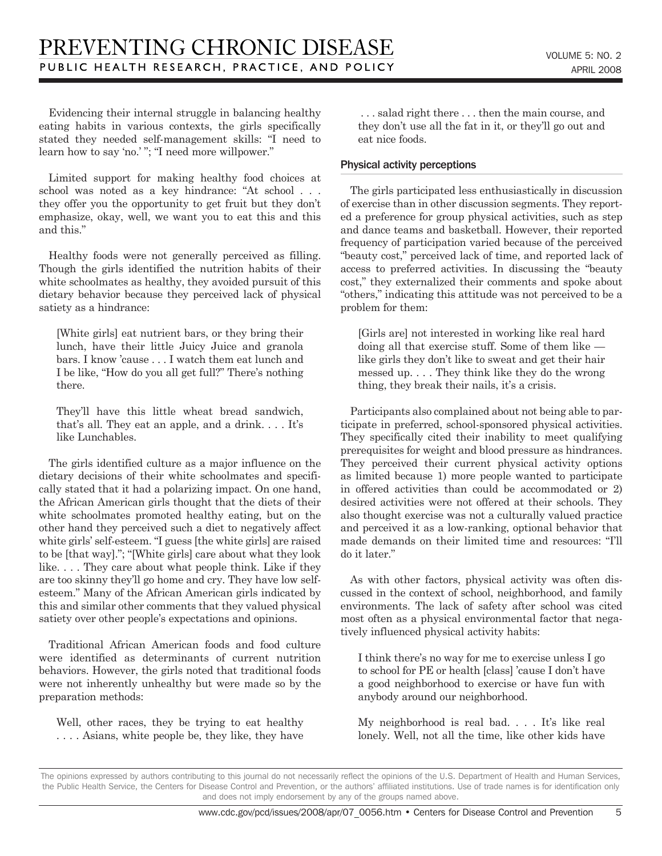Evidencing their internal struggle in balancing healthy eating habits in various contexts, the girls specifically stated they needed self-management skills: "I need to learn how to say 'no.' "; "I need more willpower."

Limited support for making healthy food choices at school was noted as a key hindrance: "At school . . . they offer you the opportunity to get fruit but they don't emphasize, okay, well, we want you to eat this and this and this."

Healthy foods were not generally perceived as filling. Though the girls identified the nutrition habits of their white schoolmates as healthy, they avoided pursuit of this dietary behavior because they perceived lack of physical satiety as a hindrance:

[White girls] eat nutrient bars, or they bring their lunch, have their little Juicy Juice and granola bars. I know 'cause . . . I watch them eat lunch and I be like, "How do you all get full?" There's nothing there.

They'll have this little wheat bread sandwich, that's all. They eat an apple, and a drink. . . . It's like Lunchables.

The girls identified culture as a major influence on the dietary decisions of their white schoolmates and specifically stated that it had a polarizing impact. On one hand, the African American girls thought that the diets of their white schoolmates promoted healthy eating, but on the other hand they perceived such a diet to negatively affect white girls' self-esteem. "I guess [the white girls] are raised to be [that way]."; "[White girls] care about what they look like. . . . They care about what people think. Like if they are too skinny they'll go home and cry. They have low selfesteem." Many of the African American girls indicated by this and similar other comments that they valued physical satiety over other people's expectations and opinions.

Traditional African American foods and food culture were identified as determinants of current nutrition behaviors. However, the girls noted that traditional foods were not inherently unhealthy but were made so by the preparation methods:

Well, other races, they be trying to eat healthy . . . . Asians, white people be, they like, they have

 . . . salad right there . . . then the main course, and they don't use all the fat in it, or they'll go out and eat nice foods.

#### Physical activity perceptions

The girls participated less enthusiastically in discussion of exercise than in other discussion segments. They reported a preference for group physical activities, such as step and dance teams and basketball. However, their reported frequency of participation varied because of the perceived "beauty cost," perceived lack of time, and reported lack of access to preferred activities. In discussing the "beauty cost," they externalized their comments and spoke about "others," indicating this attitude was not perceived to be a problem for them:

[Girls are] not interested in working like real hard doing all that exercise stuff. Some of them like like girls they don't like to sweat and get their hair messed up. . . . They think like they do the wrong thing, they break their nails, it's a crisis.

Participants also complained about not being able to participate in preferred, school-sponsored physical activities. They specifically cited their inability to meet qualifying prerequisites for weight and blood pressure as hindrances. They perceived their current physical activity options as limited because 1) more people wanted to participate in offered activities than could be accommodated or 2) desired activities were not offered at their schools. They also thought exercise was not a culturally valued practice and perceived it as a low-ranking, optional behavior that made demands on their limited time and resources: "I'll do it later."

As with other factors, physical activity was often discussed in the context of school, neighborhood, and family environments. The lack of safety after school was cited most often as a physical environmental factor that negatively influenced physical activity habits:

I think there's no way for me to exercise unless I go to school for PE or health [class] 'cause I don't have a good neighborhood to exercise or have fun with anybody around our neighborhood.

My neighborhood is real bad. . . . It's like real lonely. Well, not all the time, like other kids have

The opinions expressed by authors contributing to this journal do not necessarily reflect the opinions of the U.S. Department of Health and Human Services, the Public Health Service, the Centers for Disease Control and Prevention, or the authors' affiliated institutions. Use of trade names is for identification only and does not imply endorsement by any of the groups named above.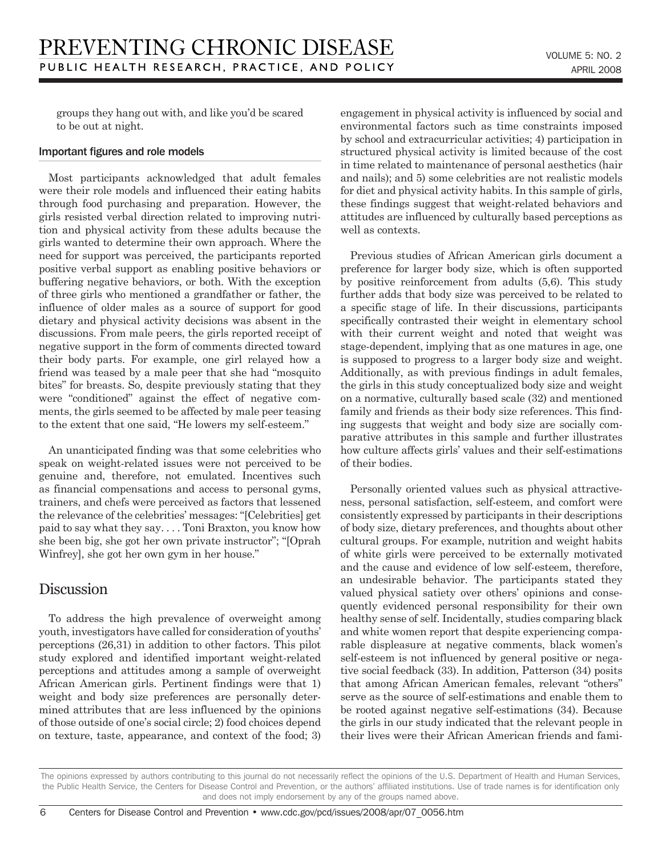groups they hang out with, and like you'd be scared to be out at night.

#### Important figures and role models

Most participants acknowledged that adult females were their role models and influenced their eating habits through food purchasing and preparation. However, the girls resisted verbal direction related to improving nutrition and physical activity from these adults because the girls wanted to determine their own approach. Where the need for support was perceived, the participants reported positive verbal support as enabling positive behaviors or buffering negative behaviors, or both. With the exception of three girls who mentioned a grandfather or father, the influence of older males as a source of support for good dietary and physical activity decisions was absent in the discussions. From male peers, the girls reported receipt of negative support in the form of comments directed toward their body parts. For example, one girl relayed how a friend was teased by a male peer that she had "mosquito bites" for breasts. So, despite previously stating that they were "conditioned" against the effect of negative comments, the girls seemed to be affected by male peer teasing to the extent that one said, "He lowers my self-esteem."

An unanticipated finding was that some celebrities who speak on weight-related issues were not perceived to be genuine and, therefore, not emulated. Incentives such as financial compensations and access to personal gyms, trainers, and chefs were perceived as factors that lessened the relevance of the celebrities' messages: "[Celebrities] get paid to say what they say. . . . Toni Braxton, you know how she been big, she got her own private instructor"; "[Oprah Winfrey], she got her own gym in her house."

### Discussion

To address the high prevalence of overweight among youth, investigators have called for consideration of youths' perceptions (26,31) in addition to other factors. This pilot study explored and identified important weight-related perceptions and attitudes among a sample of overweight African American girls. Pertinent findings were that 1) weight and body size preferences are personally determined attributes that are less influenced by the opinions of those outside of one's social circle; 2) food choices depend on texture, taste, appearance, and context of the food; 3) engagement in physical activity is influenced by social and environmental factors such as time constraints imposed by school and extracurricular activities; 4) participation in structured physical activity is limited because of the cost in time related to maintenance of personal aesthetics (hair and nails); and 5) some celebrities are not realistic models for diet and physical activity habits. In this sample of girls, these findings suggest that weight-related behaviors and attitudes are influenced by culturally based perceptions as well as contexts.

Previous studies of African American girls document a preference for larger body size, which is often supported by positive reinforcement from adults (5,6). This study further adds that body size was perceived to be related to a specific stage of life. In their discussions, participants specifically contrasted their weight in elementary school with their current weight and noted that weight was stage-dependent, implying that as one matures in age, one is supposed to progress to a larger body size and weight. Additionally, as with previous findings in adult females, the girls in this study conceptualized body size and weight on a normative, culturally based scale (32) and mentioned family and friends as their body size references. This finding suggests that weight and body size are socially comparative attributes in this sample and further illustrates how culture affects girls' values and their self-estimations of their bodies.

Personally oriented values such as physical attractiveness, personal satisfaction, self-esteem, and comfort were consistently expressed by participants in their descriptions of body size, dietary preferences, and thoughts about other cultural groups. For example, nutrition and weight habits of white girls were perceived to be externally motivated and the cause and evidence of low self-esteem, therefore, an undesirable behavior. The participants stated they valued physical satiety over others' opinions and consequently evidenced personal responsibility for their own healthy sense of self. Incidentally, studies comparing black and white women report that despite experiencing comparable displeasure at negative comments, black women's self-esteem is not influenced by general positive or negative social feedback (33). In addition, Patterson (34) posits that among African American females, relevant "others" serve as the source of self-estimations and enable them to be rooted against negative self-estimations (34). Because the girls in our study indicated that the relevant people in their lives were their African American friends and fami-

The opinions expressed by authors contributing to this journal do not necessarily reflect the opinions of the U.S. Department of Health and Human Services, the Public Health Service, the Centers for Disease Control and Prevention, or the authors' affiliated institutions. Use of trade names is for identification only and does not imply endorsement by any of the groups named above.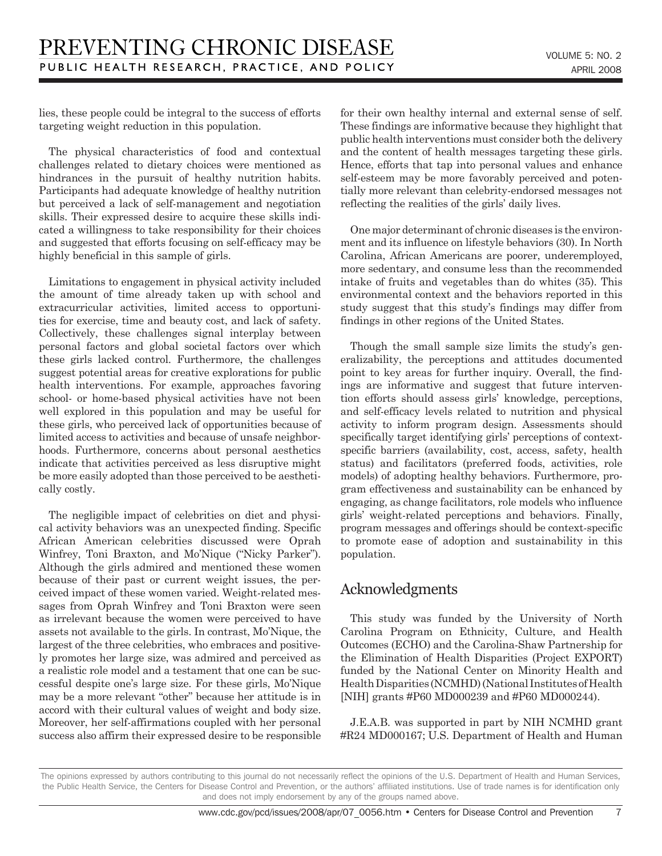lies, these people could be integral to the success of efforts targeting weight reduction in this population.

The physical characteristics of food and contextual challenges related to dietary choices were mentioned as hindrances in the pursuit of healthy nutrition habits. Participants had adequate knowledge of healthy nutrition but perceived a lack of self-management and negotiation skills. Their expressed desire to acquire these skills indicated a willingness to take responsibility for their choices and suggested that efforts focusing on self-efficacy may be highly beneficial in this sample of girls.

Limitations to engagement in physical activity included the amount of time already taken up with school and extracurricular activities, limited access to opportunities for exercise, time and beauty cost, and lack of safety. Collectively, these challenges signal interplay between personal factors and global societal factors over which these girls lacked control. Furthermore, the challenges suggest potential areas for creative explorations for public health interventions. For example, approaches favoring school- or home-based physical activities have not been well explored in this population and may be useful for these girls, who perceived lack of opportunities because of limited access to activities and because of unsafe neighborhoods. Furthermore, concerns about personal aesthetics indicate that activities perceived as less disruptive might be more easily adopted than those perceived to be aesthetically costly.

The negligible impact of celebrities on diet and physical activity behaviors was an unexpected finding. Specific African American celebrities discussed were Oprah Winfrey, Toni Braxton, and Mo'Nique ("Nicky Parker"). Although the girls admired and mentioned these women because of their past or current weight issues, the perceived impact of these women varied. Weight-related messages from Oprah Winfrey and Toni Braxton were seen as irrelevant because the women were perceived to have assets not available to the girls. In contrast, Mo'Nique, the largest of the three celebrities, who embraces and positively promotes her large size, was admired and perceived as a realistic role model and a testament that one can be successful despite one's large size. For these girls, Mo'Nique may be a more relevant "other" because her attitude is in accord with their cultural values of weight and body size. Moreover, her self-affirmations coupled with her personal success also affirm their expressed desire to be responsible for their own healthy internal and external sense of self. These findings are informative because they highlight that public health interventions must consider both the delivery and the content of health messages targeting these girls. Hence, efforts that tap into personal values and enhance self-esteem may be more favorably perceived and potentially more relevant than celebrity-endorsed messages not reflecting the realities of the girls' daily lives.

One major determinant of chronic diseases is the environment and its influence on lifestyle behaviors (30). In North Carolina, African Americans are poorer, underemployed, more sedentary, and consume less than the recommended intake of fruits and vegetables than do whites (35). This environmental context and the behaviors reported in this study suggest that this study's findings may differ from findings in other regions of the United States.

Though the small sample size limits the study's generalizability, the perceptions and attitudes documented point to key areas for further inquiry. Overall, the findings are informative and suggest that future intervention efforts should assess girls' knowledge, perceptions, and self-efficacy levels related to nutrition and physical activity to inform program design. Assessments should specifically target identifying girls' perceptions of contextspecific barriers (availability, cost, access, safety, health status) and facilitators (preferred foods, activities, role models) of adopting healthy behaviors. Furthermore, program effectiveness and sustainability can be enhanced by engaging, as change facilitators, role models who influence girls' weight-related perceptions and behaviors. Finally, program messages and offerings should be context-specific to promote ease of adoption and sustainability in this population.

## Acknowledgments

This study was funded by the University of North Carolina Program on Ethnicity, Culture, and Health Outcomes (ECHO) and the Carolina-Shaw Partnership for the Elimination of Health Disparities (Project EXPORT) funded by the National Center on Minority Health and Health Disparities (NCMHD) (National Institutes of Health [NIH] grants #P60 MD000239 and #P60 MD000244).

J.E.A.B. was supported in part by NIH NCMHD grant #R24 MD000167; U.S. Department of Health and Human

 $\overline{7}$ 

The opinions expressed by authors contributing to this journal do not necessarily reflect the opinions of the U.S. Department of Health and Human Services, the Public Health Service, the Centers for Disease Control and Prevention, or the authors' affiliated institutions. Use of trade names is for identification only and does not imply endorsement by any of the groups named above.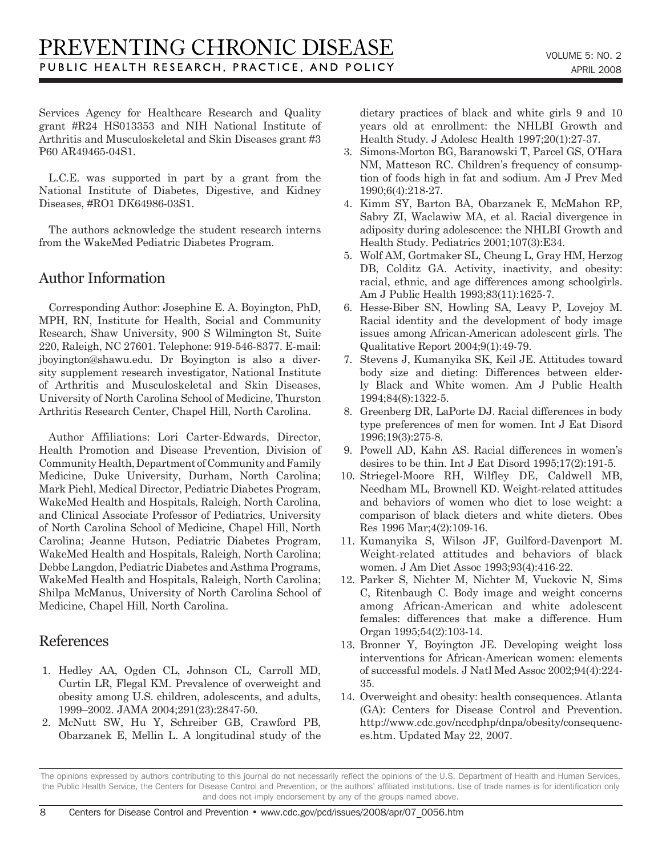Services Agency for Healthcare Research and Quality grant #R24 HS013353 and NIH National Institute of Arthritis and Musculoskeletal and Skin Diseases grant #3 P60 AR49465-04S1.

L.C.E. was supported in part by a grant from the National Institute of Diabetes, Digestive, and Kidney Diseases, #RO1 DK64986-03S1.

The authors acknowledge the student research interns from the WakeMed Pediatric Diabetes Program.

## Author Information

Corresponding Author: Josephine E. A. Boyington, PhD, MPH, RN, Institute for Health, Social and Community Research, Shaw University, 900 S Wilmington St, Suite 220, Raleigh, NC 27601. Telephone: 919-546-8377. E-mail: jboyington@shawu.edu. Dr Boyington is also a diversity supplement research investigator, National Institute of Arthritis and Musculoskeletal and Skin Diseases, University of North Carolina School of Medicine, Thurston Arthritis Research Center, Chapel Hill, North Carolina.

Author Affiliations: Lori Carter-Edwards, Director, Health Promotion and Disease Prevention, Division of Community Health, Department of Community and Family Medicine, Duke University, Durham, North Carolina; Mark Piehl, Medical Director, Pediatric Diabetes Program, WakeMed Health and Hospitals, Raleigh, North Carolina, and Clinical Associate Professor of Pediatrics, University of North Carolina School of Medicine, Chapel Hill, North Carolina; Jeanne Hutson, Pediatric Diabetes Program, WakeMed Health and Hospitals, Raleigh, North Carolina; Debbe Langdon, Pediatric Diabetes and Asthma Programs, WakeMed Health and Hospitals, Raleigh, North Carolina; Shilpa McManus, University of North Carolina School of Medicine, Chapel Hill, North Carolina.

## References

- 1. Hedley AA, Ogden CL, Johnson CL, Carroll MD, Curtin LR, Flegal KM. Prevalence of overweight and obesity among U.S. children, adolescents, and adults, 1999–2002. JAMA 2004;291(23):2847-50.
- 2. McNutt SW, Hu Y, Schreiber GB, Crawford PB, Obarzanek E, Mellin L. A longitudinal study of the

dietary practices of black and white girls 9 and 10 years old at enrollment: the NHLBI Growth and Health Study. J Adolesc Health 1997;20(1):27-37.

- 3. Simons-Morton BG, Baranowski T, Parcel GS, O'Hara NM, Matteson RC. Children's frequency of consumption of foods high in fat and sodium. Am J Prev Med 1990;6(4):218-27.
- 4. Kimm SY, Barton BA, Obarzanek E, McMahon RP, Sabry ZI, Waclawiw MA, et al. Racial divergence in adiposity during adolescence: the NHLBI Growth and Health Study. Pediatrics 2001;107(3):E34.
- 5. Wolf AM, Gortmaker SL, Cheung L, Gray HM, Herzog DB, Colditz GA. Activity, inactivity, and obesity: racial, ethnic, and age differences among schoolgirls. Am J Public Health 1993;83(11):1625-7.
- 6. Hesse-Biber SN, Howling SA, Leavy P, Lovejoy M. Racial identity and the development of body image issues among African-American adolescent girls. The Qualitative Report 2004;9(1):49-79.
- 7. Stevens J, Kumanyika SK, Keil JE. Attitudes toward body size and dieting: Differences between elderly Black and White women. Am J Public Health 1994;84(8):1322-5.
- 8. Greenberg DR, LaPorte DJ. Racial differences in body type preferences of men for women. Int J Eat Disord 1996;19(3):275-8.
- 9. Powell AD, Kahn AS. Racial differences in women's desires to be thin. Int J Eat Disord 1995;17(2):191-5.
- 10. Striegel-Moore RH, Wilfley DE, Caldwell MB, Needham ML, Brownell KD. Weight-related attitudes and behaviors of women who diet to lose weight: a comparison of black dieters and white dieters. Obes Res 1996 Mar;4(2):109-16.
- 11. Kumanyika S, Wilson JF, Guilford-Davenport M. Weight-related attitudes and behaviors of black women. J Am Diet Assoc 1993;93(4):416-22.
- 12. Parker S, Nichter M, Nichter M, Vuckovic N, Sims C, Ritenbaugh C. Body image and weight concerns among African-American and white adolescent females: differences that make a difference. Hum Organ 1995;54(2):103-14.
- 13. Bronner Y, Boyington JE. Developing weight loss interventions for African-American women: elements of successful models. J Natl Med Assoc 2002;94(4):224- 35.
- 14. Overweight and obesity: health consequences. Atlanta (GA): Centers for Disease Control and Prevention. http://www.cdc.gov/nccdphp/dnpa/obesity/consequences.htm. Updated May 22, 2007.

The opinions expressed by authors contributing to this journal do not necessarily reflect the opinions of the U.S. Department of Health and Human Services, the Public Health Service, the Centers for Disease Control and Prevention, or the authors' affiliated institutions. Use of trade names is for identification only and does not imply endorsement by any of the groups named above.